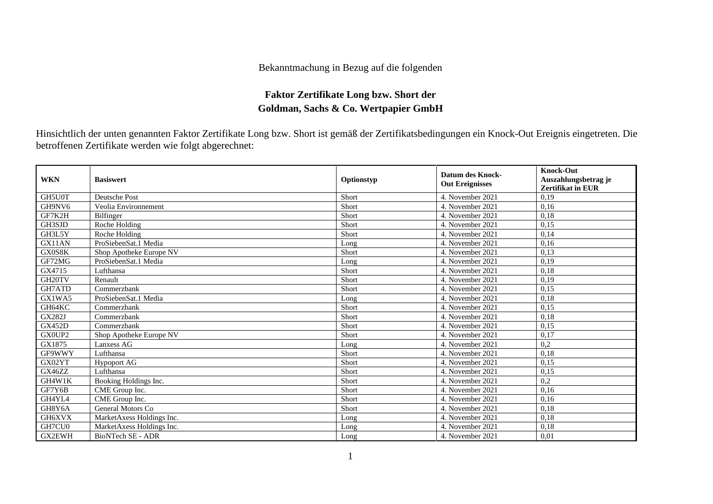## Bekanntmachung in Bezug auf die folgenden

## **Faktor Zertifikate Long bzw. Short der Goldman, Sachs & Co. Wertpapier GmbH**

Hinsichtlich der unten genannten Faktor Zertifikate Long bzw. Short ist gemäß der Zertifikatsbedingungen ein Knock-Out Ereignis eingetreten. Die betroffenen Zertifikate werden wie folgt abgerechnet:

| <b>WKN</b>         | <b>Basiswert</b>          | Optionstyp | <b>Datum des Knock-</b><br><b>Out Ereignisses</b> | <b>Knock-Out</b><br>Auszahlungsbetrag je<br>Zertifikat in EUR |
|--------------------|---------------------------|------------|---------------------------------------------------|---------------------------------------------------------------|
| GH5U0T             | <b>Deutsche Post</b>      | Short      | 4. November 2021                                  | 0,19                                                          |
| GH9NV6             | Veolia Environnement      | Short      | 4. November 2021                                  | 0,16                                                          |
| GF7K2H             | Bilfinger                 | Short      | 4. November 2021                                  | 0,18                                                          |
| GH3SJD             | Roche Holding             | Short      | 4. November 2021                                  | 0,15                                                          |
| GH3L5Y             | Roche Holding             | Short      | 4. November 2021                                  | 0,14                                                          |
| GX11AN             | ProSiebenSat.1 Media      | Long       | 4. November 2021                                  | 0,16                                                          |
| GX0S8K             | Shop Apotheke Europe NV   | Short      | 4. November 2021                                  | 0,13                                                          |
| GF72MG             | ProSiebenSat.1 Media      | Long       | 4. November 2021                                  | 0.19                                                          |
| GX4715             | Lufthansa                 | Short      | 4. November 2021                                  | 0,18                                                          |
| GH <sub>20TV</sub> | Renault                   | Short      | 4. November 2021                                  | 0.19                                                          |
| GH7ATD             | Commerzbank               | Short      | 4. November 2021                                  | 0,15                                                          |
| GX1WA5             | ProSiebenSat.1 Media      | Long       | 4. November 2021                                  | 0,18                                                          |
| GH64KC             | Commerzbank               | Short      | 4. November 2021                                  | 0,15                                                          |
| <b>GX282J</b>      | Commerzbank               | Short      | 4. November 2021                                  | 0,18                                                          |
| <b>GX452D</b>      | Commerzbank               | Short      | 4. November 2021                                  | 0,15                                                          |
| GX0UP2             | Shop Apotheke Europe NV   | Short      | 4. November 2021                                  | 0,17                                                          |
| GX1875             | Lanxess AG                | Long       | 4. November 2021                                  | 0,2                                                           |
| GF9WWY             | Lufthansa                 | Short      | 4. November 2021                                  | 0,18                                                          |
| GX02YT             | <b>Hypoport AG</b>        | Short      | 4. November 2021                                  | 0,15                                                          |
| GX46ZZ             | Lufthansa                 | Short      | 4. November 2021                                  | 0,15                                                          |
| GH4W1K             | Booking Holdings Inc.     | Short      | 4. November 2021                                  | 0,2                                                           |
| GF7Y6B             | CME Group Inc.            | Short      | 4. November 2021                                  | 0.16                                                          |
| GH4YL4             | CME Group Inc.            | Short      | 4. November 2021                                  | 0,16                                                          |
| GH8Y6A             | General Motors Co         | Short      | 4. November 2021                                  | 0,18                                                          |
| GH6XVX             | MarketAxess Holdings Inc. | Long       | 4. November 2021                                  | 0,18                                                          |
| GH7CU0             | MarketAxess Holdings Inc. | Long       | 4. November 2021                                  | 0,18                                                          |
| <b>GX2EWH</b>      | <b>BioNTech SE - ADR</b>  | Long       | 4. November 2021                                  | 0,01                                                          |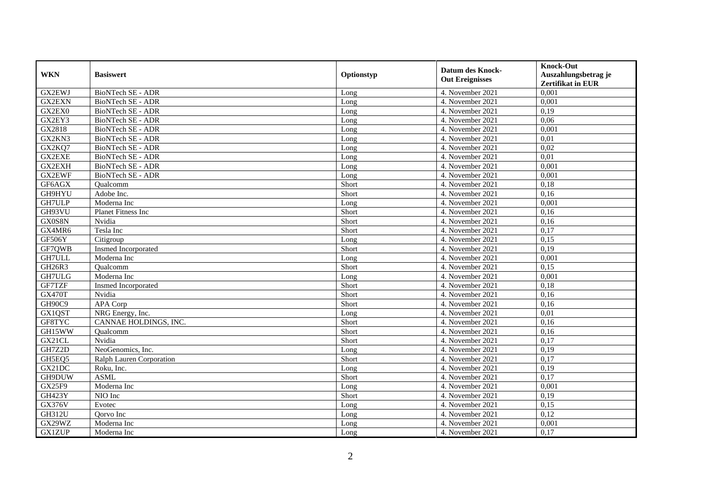| <b>WKN</b>    | <b>Basiswert</b>         | Optionstyp | <b>Datum des Knock-</b><br><b>Out Ereignisses</b> | <b>Knock-Out</b><br>Auszahlungsbetrag je<br><b>Zertifikat in EUR</b> |
|---------------|--------------------------|------------|---------------------------------------------------|----------------------------------------------------------------------|
| GX2EWJ        | <b>BioNTech SE - ADR</b> | Long       | 4. November 2021                                  | 0,001                                                                |
| <b>GX2EXN</b> | <b>BioNTech SE - ADR</b> | Long       | 4. November 2021                                  | 0,001                                                                |
| GX2EX0        | BioNTech SE - ADR        | Long       | 4. November 2021                                  | 0,19                                                                 |
| GX2EY3        | BioNTech SE - ADR        | Long       | 4. November 2021                                  | 0,06                                                                 |
| GX2818        | BioNTech SE - ADR        | Long       | 4. November 2021                                  | 0,001                                                                |
| GX2KN3        | <b>BioNTech SE - ADR</b> | Long       | 4. November 2021                                  | 0.01                                                                 |
| GX2KQ7        | <b>BioNTech SE - ADR</b> | Long       | 4. November 2021                                  | 0,02                                                                 |
| <b>GX2EXE</b> | BioNTech SE - ADR        | Long       | 4. November 2021                                  | 0,01                                                                 |
| GX2EXH        | BioNTech SE - ADR        | Long       | 4. November 2021                                  | 0,001                                                                |
| <b>GX2EWF</b> | <b>BioNTech SE - ADR</b> | Long       | 4. November 2021                                  | 0,001                                                                |
| GF6AGX        | Qualcomm                 | Short      | 4. November 2021                                  | 0,18                                                                 |
| GH9HYU        | Adobe Inc.               | Short      | 4. November 2021                                  | 0,16                                                                 |
| <b>GH7ULP</b> | Moderna Inc              | Long       | 4. November 2021                                  | 0,001                                                                |
| GH93VU        | Planet Fitness Inc       | Short      | 4. November 2021                                  | 0.16                                                                 |
| GX0S8N        | Nvidia                   | Short      | 4. November 2021                                  | 0,16                                                                 |
| GX4MR6        | Tesla Inc                | Short      | 4. November 2021                                  | 0,17                                                                 |
| GF506Y        | Citigroup                | Long       | 4. November 2021                                  | 0.15                                                                 |
| GF7QWB        | Insmed Incorporated      | Short      | 4. November 2021                                  | 0,19                                                                 |
| GH7ULL        | Moderna Inc              | Long       | 4. November 2021                                  | 0,001                                                                |
| GH26R3        | Qualcomm                 | Short      | 4. November 2021                                  | 0,15                                                                 |
| GH7ULG        | Moderna Inc              | Long       | 4. November 2021                                  | 0,001                                                                |
| GF7TZF        | Insmed Incorporated      | Short      | 4. November 2021                                  | 0.18                                                                 |
| GX470T        | Nvidia                   | Short      | 4. November 2021                                  | 0,16                                                                 |
| GH90C9        | APA Corp                 | Short      | 4. November 2021                                  | 0,16                                                                 |
| GX1QST        | NRG Energy, Inc.         | Long       | 4. November 2021                                  | 0,01                                                                 |
| GF8TYC        | CANNAE HOLDINGS, INC.    | Short      | 4. November 2021                                  | 0,16                                                                 |
| GH15WW        | Qualcomm                 | Short      | 4. November 2021                                  | 0,16                                                                 |
| GX21CL        | Nvidia                   | Short      | 4. November 2021                                  | 0,17                                                                 |
| GH7Z2D        | NeoGenomics, Inc.        | Long       | 4. November 2021                                  | 0,19                                                                 |
| GH5EQ5        | Ralph Lauren Corporation | Short      | 4. November 2021                                  | 0,17                                                                 |
| GX21DC        | Roku, Inc.               | Long       | 4. November 2021                                  | 0,19                                                                 |
| GH9DUW        | <b>ASML</b>              | Short      | 4. November 2021                                  | 0,17                                                                 |
| <b>GX25F9</b> | Moderna Inc              | Long       | 4. November 2021                                  | 0,001                                                                |
| <b>GH423Y</b> | NIO Inc                  | Short      | 4. November 2021                                  | 0,19                                                                 |
| <b>GX376V</b> | Evotec                   | Long       | 4. November 2021                                  | 0,15                                                                 |
| GH312U        | Oorvo Inc                | Long       | 4. November 2021                                  | 0,12                                                                 |
| GX29WZ        | Moderna Inc              | Long       | 4. November 2021                                  | 0,001                                                                |
| <b>GX1ZUP</b> | Moderna Inc              | Long       | 4. November 2021                                  | 0,17                                                                 |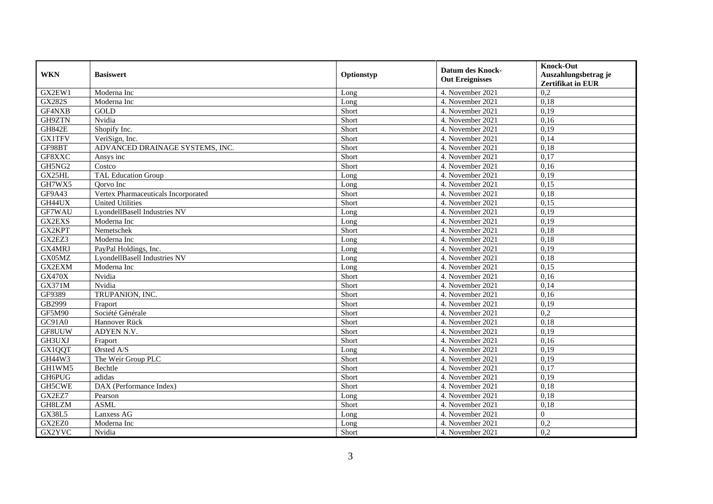| <b>WKN</b>    | <b>Basiswert</b>                    | Optionstyp | <b>Datum des Knock-</b><br><b>Out Ereignisses</b> | <b>Knock-Out</b><br>Auszahlungsbetrag je<br><b>Zertifikat in EUR</b> |
|---------------|-------------------------------------|------------|---------------------------------------------------|----------------------------------------------------------------------|
| GX2EW1        | Moderna Inc                         | Long       | 4. November 2021                                  | 0,2                                                                  |
| <b>GX282S</b> | Moderna Inc                         | Long       | 4. November 2021                                  | 0,18                                                                 |
| GF4NXB        | <b>GOLD</b>                         | Short      | 4. November 2021                                  | 0,19                                                                 |
| GH9ZTN        | Nvidia                              | Short      | 4. November 2021                                  | 0,16                                                                 |
| <b>GH842E</b> | Shopify Inc.                        | Short      | 4. November 2021                                  | 0,19                                                                 |
| <b>GX1TFV</b> | VeriSign, Inc.                      | Short      | 4. November 2021                                  | 0,14                                                                 |
| GF98BT        | ADVANCED DRAINAGE SYSTEMS, INC.     | Short      | 4. November 2021                                  | 0.18                                                                 |
| GF8XXC        | Ansys inc                           | Short      | 4. November 2021                                  | 0,17                                                                 |
| GH5NG2        | Costco                              | Short      | 4. November 2021                                  | 0,16                                                                 |
| GX25HL        | <b>TAL Education Group</b>          | Long       | 4. November 2021                                  | 0,19                                                                 |
| GH7WX5        | Oorvo Inc                           | Long       | 4. November 2021                                  | 0,15                                                                 |
| GF9A43        | Vertex Pharmaceuticals Incorporated | Short      | 4. November 2021                                  | 0,18                                                                 |
| GH44UX        | <b>United Utilities</b>             | Short      | 4. November 2021                                  | 0,15                                                                 |
| GF7WAU        | LyondellBasell Industries NV        | Long       | 4. November 2021                                  | 0.19                                                                 |
| GX2EXS        | Moderna Inc                         | Long       | 4. November 2021                                  | 0,19                                                                 |
| GX2KPT        | Nemetschek                          | Short      | 4. November 2021                                  | 0,18                                                                 |
| GX2EZ3        | Moderna Inc                         | Long       | 4. November 2021                                  | 0.18                                                                 |
| GX4MRJ        | PayPal Holdings, Inc.               | Long       | 4. November 2021                                  | 0,19                                                                 |
| GX05MZ        | LyondellBasell Industries NV        | Long       | 4. November 2021                                  | 0,18                                                                 |
| GX2EXM        | Moderna Inc                         | Long       | 4. November 2021                                  | 0,15                                                                 |
| <b>GX470X</b> | Nvidia                              | Short      | 4. November 2021                                  | 0,16                                                                 |
| GX371M        | Nvidia                              | Short      | 4. November 2021                                  | 0.14                                                                 |
| GF9389        | TRUPANION, INC.                     | Short      | 4. November 2021                                  | 0,16                                                                 |
| GB2999        | Fraport                             | Short      | 4. November 2021                                  | 0,19                                                                 |
| <b>GF5M90</b> | Société Générale                    | Short      | 4. November 2021                                  | 0,2                                                                  |
| GC91A0        | Hannover Rück                       | Short      | 4. November 2021                                  | 0,18                                                                 |
| GF8UUW        | ADYEN N.V.                          | Short      | 4. November 2021                                  | 0,19                                                                 |
| GH3UXJ        | Fraport                             | Short      | 4. November 2021                                  | 0,16                                                                 |
| GX1QQT        | Ørsted A/S                          | Long       | 4. November 2021                                  | 0,19                                                                 |
| GH44W3        | The Weir Group PLC                  | Short      | 4. November 2021                                  | 0,19                                                                 |
| GH1WM5        | Bechtle                             | Short      | 4. November 2021                                  | 0,17                                                                 |
| <b>GH6PUG</b> | adidas                              | Short      | 4. November 2021                                  | 0,19                                                                 |
| <b>GH5CWE</b> | DAX (Performance Index)             | Short      | 4. November 2021                                  | 0,18                                                                 |
| GX2EZ7        | Pearson                             | Long       | 4. November 2021                                  | 0,18                                                                 |
| GH8LZM        | <b>ASML</b>                         | Short      | 4. November 2021                                  | 0,18                                                                 |
| <b>GX38L5</b> | Lanxess AG                          | Long       | 4. November 2021                                  | $\overline{0}$                                                       |
| GX2EZ0        | Moderna Inc                         | Long       | 4. November 2021                                  | 0,2                                                                  |
| GX2YVC        | Nvidia                              | Short      | 4. November 2021                                  | 0,2                                                                  |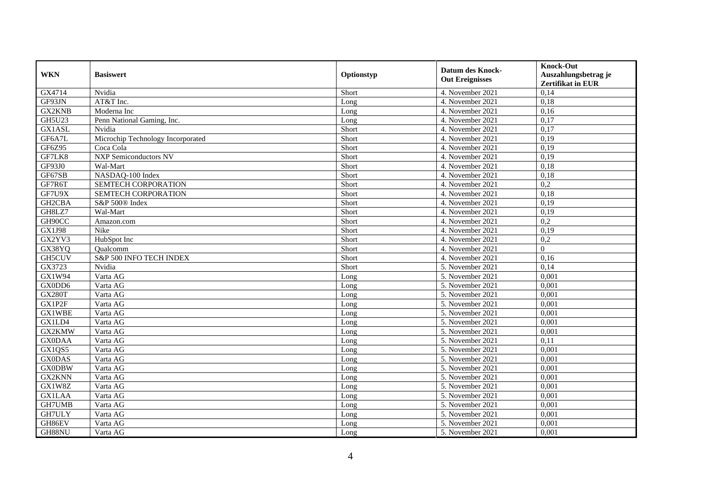| <b>WKN</b>           | <b>Basiswert</b>                  | Optionstyp | <b>Datum des Knock-</b><br><b>Out Ereignisses</b> | <b>Knock-Out</b><br>Auszahlungsbetrag je<br><b>Zertifikat in EUR</b> |
|----------------------|-----------------------------------|------------|---------------------------------------------------|----------------------------------------------------------------------|
| GX4714               | Nvidia                            | Short      | 4. November 2021                                  | 0,14                                                                 |
| GF93JN               | AT&T Inc.                         | Long       | 4. November 2021                                  | 0,18                                                                 |
| <b>GX2KNB</b>        | Moderna Inc                       | Long       | 4. November 2021                                  | 0,16                                                                 |
| GH5U23               | Penn National Gaming, Inc.        | Long       | 4. November 2021                                  | 0,17                                                                 |
| GX1ASL               | Nvidia                            | Short      | 4. November 2021                                  | 0,17                                                                 |
| GF6A7L               | Microchip Technology Incorporated | Short      | 4. November 2021                                  | 0,19                                                                 |
| GF6Z95               | Coca Cola                         | Short      | 4. November 2021                                  | 0,19                                                                 |
| GF7LK8               | <b>NXP Semiconductors NV</b>      | Short      | 4. November 2021                                  | 0,19                                                                 |
| GF93J0               | Wal-Mart                          | Short      | 4. November 2021                                  | 0,18                                                                 |
| GF67SB               | NASDAQ-100 Index                  | Short      | 4. November 2021                                  | 0,18                                                                 |
| GF7R6T               | SEMTECH CORPORATION               | Short      | 4. November 2021                                  | 0,2                                                                  |
| GF7U9X               | SEMTECH CORPORATION               | Short      | 4. November 2021                                  | 0,18                                                                 |
| GH <sub>2</sub> CBA  | S&P 500® Index                    | Short      | 4. November 2021                                  | 0,19                                                                 |
| GH8LZ7               | Wal-Mart                          | Short      | 4. November 2021                                  | 0.19                                                                 |
| GH90CC               | Amazon.com                        | Short      | 4. November 2021                                  | 0,2                                                                  |
| <b>GX1J98</b>        | Nike                              | Short      | 4. November 2021                                  | 0,19                                                                 |
| GX2YV3               | HubSpot Inc                       | Short      | 4. November 2021                                  | 0,2                                                                  |
| GX38YQ               | Oualcomm                          | Short      | 4. November 2021                                  | $\Omega$                                                             |
| GH5CUV               | S&P 500 INFO TECH INDEX           | Short      | 4. November 2021                                  | 0,16                                                                 |
| GX3723               | Nvidia                            | Short      | 5. November 2021                                  | 0,14                                                                 |
| GX1W94               | Varta AG                          | Long       | 5. November 2021                                  | 0,001                                                                |
| GX0DD6               | Varta AG                          | Long       | 5. November 2021                                  | 0.001                                                                |
| <b>GX280T</b>        | Varta AG                          | Long       | 5. November 2021                                  | 0,001                                                                |
| GX1P2F               | Varta AG                          | Long       | 5. November 2021                                  | 0,001                                                                |
| <b>GX1WBE</b>        | Varta AG                          | Long       | 5. November 2021                                  | 0,001                                                                |
| GX1LD4               | Varta AG                          | Long       | 5. November 2021                                  | 0,001                                                                |
| GX2KMW               | Varta AG                          | Long       | 5. November 2021                                  | 0,001                                                                |
| <b>GX0DAA</b>        | Varta AG                          | Long       | 5. November 2021                                  | 0,11                                                                 |
| $\overline{GX1}$ QS5 | Varta AG                          | Long       | 5. November 2021                                  | 0,001                                                                |
| <b>GX0DAS</b>        | Varta AG                          | Long       | 5. November 2021                                  | 0,001                                                                |
| <b>GX0DBW</b>        | Varta AG                          | Long       | 5. November 2021                                  | 0,001                                                                |
| GX2KNN               | Varta AG                          | Long       | 5. November 2021                                  | 0,001                                                                |
| GX1W8Z               | Varta AG                          | Long       | 5. November 2021                                  | 0,001                                                                |
| <b>GX1LAA</b>        | Varta AG                          | Long       | 5. November 2021                                  | 0,001                                                                |
| GH7UMB               | Varta AG                          | Long       | 5. November 2021                                  | 0,001                                                                |
| GH7ULY               | Varta AG                          | Long       | 5. November 2021                                  | 0,001                                                                |
| GH86EV               | Varta AG                          | Long       | 5. November 2021                                  | 0,001                                                                |
| GH88NU               | Varta AG                          | Long       | 5. November 2021                                  | 0,001                                                                |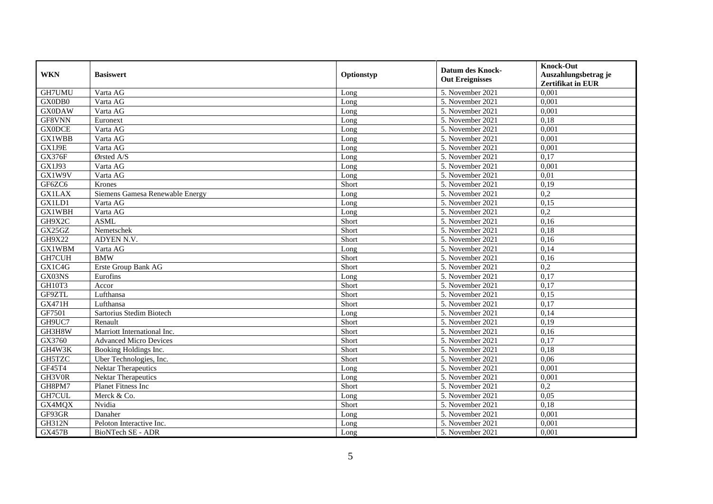| <b>WKN</b>    | <b>Basiswert</b>                | Optionstyp | Datum des Knock-<br><b>Out Ereignisses</b> | <b>Knock-Out</b><br>Auszahlungsbetrag je<br>Zertifikat in EUR |
|---------------|---------------------------------|------------|--------------------------------------------|---------------------------------------------------------------|
| GH7UMU        | Varta AG                        | Long       | 5. November 2021                           | 0,001                                                         |
| GX0DB0        | Varta AG                        | Long       | 5. November 2021                           | 0,001                                                         |
| <b>GX0DAW</b> | Varta AG                        | Long       | 5. November 2021                           | 0,001                                                         |
| GF8VNN        | Euronext                        | Long       | 5. November 2021                           | 0,18                                                          |
| <b>GX0DCE</b> | Varta AG                        | Long       | 5. November 2021                           | 0,001                                                         |
| <b>GX1WBB</b> | Varta AG                        | Long       | $\overline{5}$ . November 2021             | 0,001                                                         |
| GX1J9E        | Varta AG                        | Long       | 5. November 2021                           | 0,001                                                         |
| <b>GX376F</b> | Ørsted A/S                      | Long       | 5. November 2021                           | 0,17                                                          |
| GX1J93        | Varta AG                        | Long       | 5. November 2021                           | 0,001                                                         |
| GX1W9V        | Varta AG                        | Long       | 5. November 2021                           | 0.01                                                          |
| GF6ZC6        | Krones                          | Short      | 5. November 2021                           | 0,19                                                          |
| <b>GX1LAX</b> | Siemens Gamesa Renewable Energy | Long       | 5. November 2021                           | 0,2                                                           |
| GX1LD1        | Varta AG                        | Long       | 5. November 2021                           | 0,15                                                          |
| GX1WBH        | Varta AG                        | Long       | 5. November 2021                           | 0,2                                                           |
| GH9X2C        | <b>ASML</b>                     | Short      | 5. November 2021                           | 0,16                                                          |
| GX25GZ        | Nemetschek                      | Short      | 5. November 2021                           | 0,18                                                          |
| GH9X22        | ADYEN N.V.                      | Short      | 5. November 2021                           | 0,16                                                          |
| <b>GX1WBM</b> | Varta AG                        | Long       | 5. November 2021                           | 0,14                                                          |
| <b>GH7CUH</b> | <b>BMW</b>                      | Short      | 5. November 2021                           | 0,16                                                          |
| GX1C4G        | Erste Group Bank AG             | Short      | 5. November 2021                           | 0,2                                                           |
| GX03NS        | Eurofins                        | Long       | 5. November 2021                           | 0,17                                                          |
| GH10T3        | Accor                           | Short      | 5. November 2021                           | 0,17                                                          |
| GF9ZTL        | Lufthansa                       | Short      | 5. November 2021                           | 0,15                                                          |
| <b>GX471H</b> | Lufthansa                       | Short      | 5. November 2021                           | 0,17                                                          |
| GF7501        | Sartorius Stedim Biotech        | Long       | 5. November 2021                           | 0,14                                                          |
| GH9UC7        | Renault                         | Short      | 5. November 2021                           | 0,19                                                          |
| GH3H8W        | Marriott International Inc.     | Short      | 5. November 2021                           | 0,16                                                          |
| GX3760        | <b>Advanced Micro Devices</b>   | Short      | 5. November 2021                           | 0,17                                                          |
| GH4W3K        | Booking Holdings Inc.           | Short      | 5. November 2021                           | 0.18                                                          |
| GH5TZC        | Uber Technologies, Inc.         | Short      | 5. November 2021                           | 0,06                                                          |
| GF45T4        | <b>Nektar Therapeutics</b>      | Long       | 5. November 2021                           | 0,001                                                         |
| GH3V0R        | <b>Nektar Therapeutics</b>      | Long       | 5. November 2021                           | 0,001                                                         |
| GH8PM7        | Planet Fitness Inc              | Short      | 5. November 2021                           | $\overline{0.2}$                                              |
| GH7CUL        | Merck & Co.                     | Long       | 5. November 2021                           | 0,05                                                          |
| GX4MQX        | Nvidia                          | Short      | 5. November 2021                           | 0,18                                                          |
| GF93GR        | Danaher                         | Long       | 5. November 2021                           | 0,001                                                         |
| <b>GH312N</b> | Peloton Interactive Inc.        | Long       | 5. November 2021                           | 0,001                                                         |
| <b>GX457B</b> | BioNTech SE - ADR               | Long       | 5. November 2021                           | 0,001                                                         |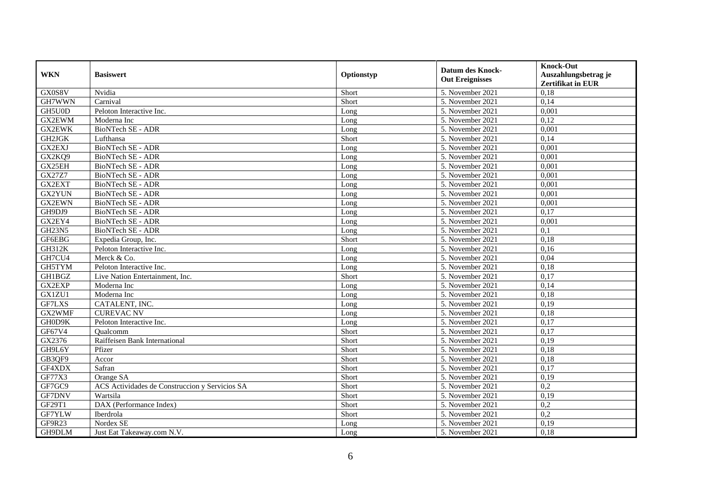| <b>WKN</b>    | <b>Basiswert</b>                               | Optionstyp | <b>Datum des Knock-</b><br><b>Out Ereignisses</b> | <b>Knock-Out</b><br>Auszahlungsbetrag je<br><b>Zertifikat in EUR</b> |
|---------------|------------------------------------------------|------------|---------------------------------------------------|----------------------------------------------------------------------|
| GX0S8V        | Nvidia                                         | Short      | 5. November 2021                                  | 0,18                                                                 |
| GH7WWN        | Carnival                                       | Short      | 5. November 2021                                  | 0,14                                                                 |
| GH5U0D        | Peloton Interactive Inc.                       | Long       | 5. November 2021                                  | 0,001                                                                |
| GX2EWM        | Moderna Inc                                    | Long       | 5. November 2021                                  | 0,12                                                                 |
| <b>GX2EWK</b> | BioNTech SE - ADR                              | Long       | 5. November 2021                                  | 0,001                                                                |
| GH2JGK        | Lufthansa                                      | Short      | 5. November 2021                                  | 0,14                                                                 |
| <b>GX2EXJ</b> | <b>BioNTech SE - ADR</b>                       | Long       | 5. November 2021                                  | 0,001                                                                |
| GX2KQ9        | BioNTech SE - ADR                              | Long       | 5. November 2021                                  | 0,001                                                                |
| GX25EH        | BioNTech SE - ADR                              | Long       | 5. November 2021                                  | 0,001                                                                |
| <b>GX27Z7</b> | <b>BioNTech SE - ADR</b>                       | Long       | 5. November 2021                                  | 0,001                                                                |
| GX2EXT        | <b>BioNTech SE - ADR</b>                       | Long       | 5. November 2021                                  | 0,001                                                                |
| GX2YUN        | <b>BioNTech SE - ADR</b>                       | Long       | 5. November 2021                                  | 0,001                                                                |
| <b>GX2EWN</b> | BioNTech SE - ADR                              | Long       | 5. November 2021                                  | 0,001                                                                |
| GH9DJ9        | BioNTech SE - ADR                              | Long       | 5. November 2021                                  | 0,17                                                                 |
| GX2EY4        | BioNTech SE - ADR                              | Long       | 5. November 2021                                  | 0,001                                                                |
| <b>GH23N5</b> | BioNTech SE - ADR                              | Long       | 5. November 2021                                  | 0,1                                                                  |
| GF6EBG        | Expedia Group, Inc.                            | Short      | 5. November 2021                                  | 0,18                                                                 |
| <b>GH312K</b> | Peloton Interactive Inc.                       | Long       | 5. November 2021                                  | 0,16                                                                 |
| GH7CU4        | Merck & Co.                                    | Long       | 5. November 2021                                  | 0,04                                                                 |
| GH5TYM        | Peloton Interactive Inc.                       | Long       | 5. November 2021                                  | 0,18                                                                 |
| <b>GH1BGZ</b> | Live Nation Entertainment, Inc.                | Short      | 5. November 2021                                  | 0,17                                                                 |
| GX2EXP        | Moderna Inc                                    | Long       | 5. November 2021                                  | 0,14                                                                 |
| GX1ZU1        | Moderna Inc                                    | Long       | 5. November 2021                                  | 0,18                                                                 |
| GF7LXS        | CATALENT, INC.                                 | Long       | 5. November 2021                                  | 0,19                                                                 |
| GX2WMF        | <b>CUREVAC NV</b>                              | Long       | $\overline{5}$ . November 2021                    | 0,18                                                                 |
| GH0D9K        | Peloton Interactive Inc.                       | Long       | 5. November 2021                                  | 0,17                                                                 |
| GF67V4        | Qualcomm                                       | Short      | $\overline{5}$ . November 2021                    | 0,17                                                                 |
| GX2376        | Raiffeisen Bank International                  | Short      | 5. November 2021                                  | 0,19                                                                 |
| GH9L6Y        | Pfizer                                         | Short      | 5. November 2021                                  | 0,18                                                                 |
| GB3QF9        | Accor                                          | Short      | 5. November 2021                                  | 0,18                                                                 |
| GF4XDX        | Safran                                         | Short      | 5. November 2021                                  | 0,17                                                                 |
| GF77X3        | Orange SA                                      | Short      | 5. November 2021                                  | 0,19                                                                 |
| GF7GC9        | ACS Actividades de Construccion y Servicios SA | Short      | 5. November 2021                                  | 0,2                                                                  |
| GF7DNV        | Wartsila                                       | Short      | 5. November 2021                                  | 0,19                                                                 |
| GF29T1        | DAX (Performance Index)                        | Short      | 5. November 2021                                  | 0,2                                                                  |
| GF7YLW        | Iberdrola                                      | Short      | 5. November 2021                                  | 0,2                                                                  |
| GF9R23        | Nordex SE                                      | Long       | 5. November 2021                                  | 0,19                                                                 |
| GH9DLM        | Just Eat Takeaway.com N.V.                     | Long       | 5. November 2021                                  | 0,18                                                                 |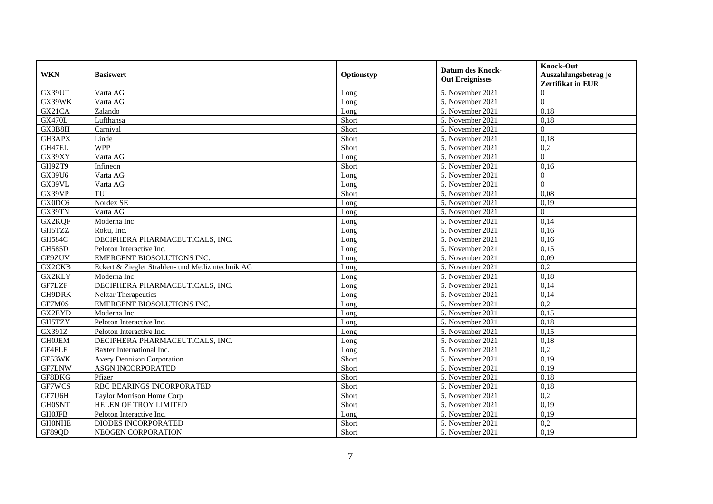| <b>WKN</b>    | <b>Basiswert</b>                                 | Optionstyp | <b>Datum des Knock-</b><br><b>Out Ereignisses</b> | <b>Knock-Out</b><br>Auszahlungsbetrag je<br><b>Zertifikat in EUR</b> |
|---------------|--------------------------------------------------|------------|---------------------------------------------------|----------------------------------------------------------------------|
| GX39UT        | Varta AG                                         | Long       | 5. November 2021                                  | $\Omega$                                                             |
| GX39WK        | Varta AG                                         | Long       | 5. November 2021                                  | $\Omega$                                                             |
| GX21CA        | Zalando                                          | Long       | 5. November 2021                                  | 0,18                                                                 |
| <b>GX470L</b> | Lufthansa                                        | Short      | 5. November 2021                                  | 0,18                                                                 |
| GX3B8H        | Carnival                                         | Short      | 5. November 2021                                  | $\Omega$                                                             |
| GH3APX        | Linde                                            | Short      | 5. November 2021                                  | 0,18                                                                 |
| GH47EL        | <b>WPP</b>                                       | Short      | 5. November 2021                                  | 0,2                                                                  |
| GX39XY        | Varta AG                                         | Long       | 5. November 2021                                  | $\Omega$                                                             |
| GH9ZT9        | Infineon                                         | Short      | 5. November 2021                                  | 0,16                                                                 |
| GX39U6        | Varta AG                                         | Long       | 5. November 2021                                  | $\Omega$                                                             |
| GX39VL        | Varta AG                                         | Long       | 5. November 2021                                  | $\Omega$                                                             |
| GX39VP        | TUI                                              | Short      | 5. November 2021                                  | 0,08                                                                 |
| GX0DC6        | Nordex SE                                        | Long       | 5. November 2021                                  | 0,19                                                                 |
| GX39TN        | Varta AG                                         | Long       | 5. November 2021                                  | $\Omega$                                                             |
| GX2KQF        | Moderna Inc                                      | Long       | 5. November 2021                                  | 0,14                                                                 |
| GH5TZZ        | Roku, Inc.                                       | Long       | 5. November 2021                                  | 0,16                                                                 |
| <b>GH584C</b> | DECIPHERA PHARMACEUTICALS, INC.                  | Long       | 5. November 2021                                  | 0,16                                                                 |
| <b>GH585D</b> | Peloton Interactive Inc.                         | Long       | 5. November 2021                                  | 0.15                                                                 |
| GF9ZUV        | <b>EMERGENT BIOSOLUTIONS INC.</b>                | Long       | 5. November 2021                                  | 0,09                                                                 |
| GX2CKB        | Eckert & Ziegler Strahlen- und Medizintechnik AG | Long       | 5. November 2021                                  | 0,2                                                                  |
| GX2KLY        | Moderna Inc                                      | Long       | 5. November 2021                                  | 0,18                                                                 |
| GF7LZF        | DECIPHERA PHARMACEUTICALS, INC.                  | Long       | 5. November 2021                                  | 0,14                                                                 |
| GH9DRK        | Nektar Therapeutics                              | Long       | 5. November 2021                                  | 0,14                                                                 |
| GF7M0S        | <b>EMERGENT BIOSOLUTIONS INC.</b>                | Long       | 5. November 2021                                  | 0,2                                                                  |
| <b>GX2EYD</b> | Moderna Inc                                      | Long       | 5. November 2021                                  | 0,15                                                                 |
| GH5TZY        | Peloton Interactive Inc.                         | Long       | 5. November 2021                                  | 0,18                                                                 |
| GX391Z        | Peloton Interactive Inc.                         | Long       | 5. November 2021                                  | 0,15                                                                 |
| <b>GH0JEM</b> | DECIPHERA PHARMACEUTICALS, INC.                  | Long       | 5. November 2021                                  | 0.18                                                                 |
| GF4FLE        | Baxter International Inc.                        | Long       | 5. November 2021                                  | 0,2                                                                  |
| GF53WK        | <b>Avery Dennison Corporation</b>                | Short      | 5. November 2021                                  | 0,19                                                                 |
| <b>GF7LNW</b> | ASGN INCORPORATED                                | Short      | 5. November 2021                                  | 0,19                                                                 |
| GF8DKG        | Pfizer                                           | Short      | 5. November 2021                                  | 0,18                                                                 |
| GF7WCS        | RBC BEARINGS INCORPORATED                        | Short      | 5. November 2021                                  | 0,18                                                                 |
| GF7U6H        | <b>Taylor Morrison Home Corp</b>                 | Short      | 5. November 2021                                  | 0,2                                                                  |
| <b>GH0SNT</b> | HELEN OF TROY LIMITED                            | Short      | 5. November 2021                                  | 0,19                                                                 |
| <b>GH0JFB</b> | Peloton Interactive Inc.                         | Long       | 5. November 2021                                  | 0,19                                                                 |
| <b>GHONHE</b> | DIODES INCORPORATED                              | Short      | 5. November 2021                                  | 0,2                                                                  |
| GF89QD        | NEOGEN CORPORATION                               | Short      | 5. November 2021                                  | 0,19                                                                 |